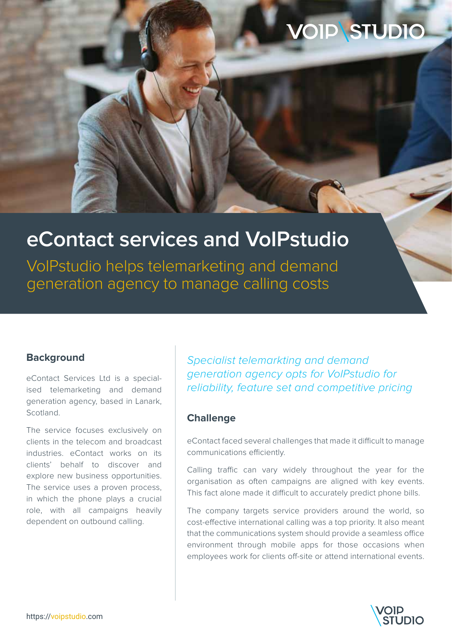# **VOIP STUDIO**

## **eContact services and VoIPstudio**

VoIPstudio helps telemarketing and demand generation agency to manage calling costs

## **Background**

eContact Services Ltd is a specialised telemarketing and demand generation agency, based in Lanark, **Scotland** 

The service focuses exclusively on clients in the telecom and broadcast industries. eContact works on its clients' behalf to discover and explore new business opportunities. The service uses a proven process, in which the phone plays a crucial role, with all campaigns heavily dependent on outbound calling.

Specialist telemarkting and demand generation agency opts for VoIPstudio for reliability, feature set and competitive pricing

### **Challenge**

eContact faced several challenges that made it difficult to manage communications efficiently.

Calling traffic can vary widely throughout the year for the organisation as often campaigns are aligned with key events. This fact alone made it difficult to accurately predict phone bills.

The company targets service providers around the world, so cost-effective international calling was a top priority. It also meant that the communications system should provide a seamless office environment through mobile apps for those occasions when employees work for clients off-site or attend international events.